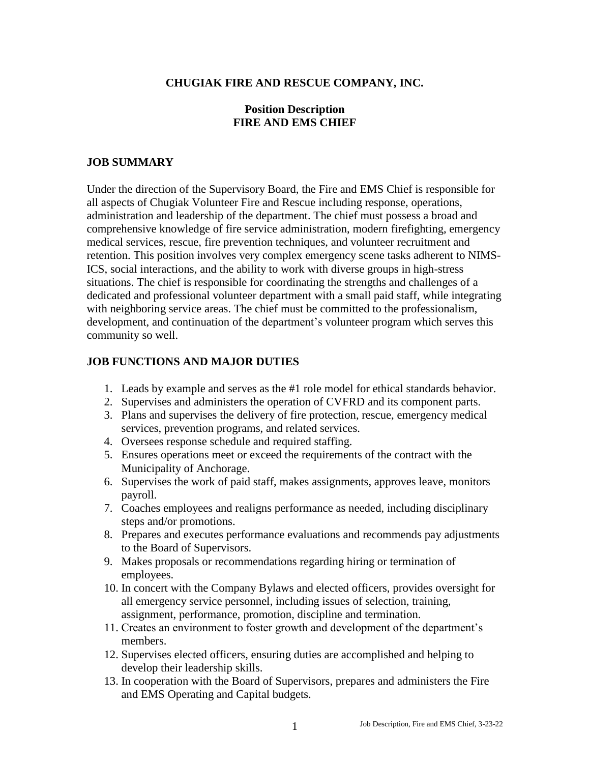### **CHUGIAK FIRE AND RESCUE COMPANY, INC.**

### **Position Description FIRE AND EMS CHIEF**

### **JOB SUMMARY**

Under the direction of the Supervisory Board, the Fire and EMS Chief is responsible for all aspects of Chugiak Volunteer Fire and Rescue including response, operations, administration and leadership of the department. The chief must possess a broad and comprehensive knowledge of fire service administration, modern firefighting, emergency medical services, rescue, fire prevention techniques, and volunteer recruitment and retention. This position involves very complex emergency scene tasks adherent to NIMS-ICS, social interactions, and the ability to work with diverse groups in high-stress situations. The chief is responsible for coordinating the strengths and challenges of a dedicated and professional volunteer department with a small paid staff, while integrating with neighboring service areas. The chief must be committed to the professionalism, development, and continuation of the department's volunteer program which serves this community so well.

#### **JOB FUNCTIONS AND MAJOR DUTIES**

- 1. Leads by example and serves as the #1 role model for ethical standards behavior.
- 2. Supervises and administers the operation of CVFRD and its component parts.
- 3. Plans and supervises the delivery of fire protection, rescue, emergency medical services, prevention programs, and related services.
- 4. Oversees response schedule and required staffing.
- 5. Ensures operations meet or exceed the requirements of the contract with the Municipality of Anchorage.
- 6. Supervises the work of paid staff, makes assignments, approves leave, monitors payroll.
- 7. Coaches employees and realigns performance as needed, including disciplinary steps and/or promotions.
- 8. Prepares and executes performance evaluations and recommends pay adjustments to the Board of Supervisors.
- 9. Makes proposals or recommendations regarding hiring or termination of employees.
- 10. In concert with the Company Bylaws and elected officers, provides oversight for all emergency service personnel, including issues of selection, training, assignment, performance, promotion, discipline and termination.
- 11. Creates an environment to foster growth and development of the department's members.
- 12. Supervises elected officers, ensuring duties are accomplished and helping to develop their leadership skills.
- 13. In cooperation with the Board of Supervisors, prepares and administers the Fire and EMS Operating and Capital budgets.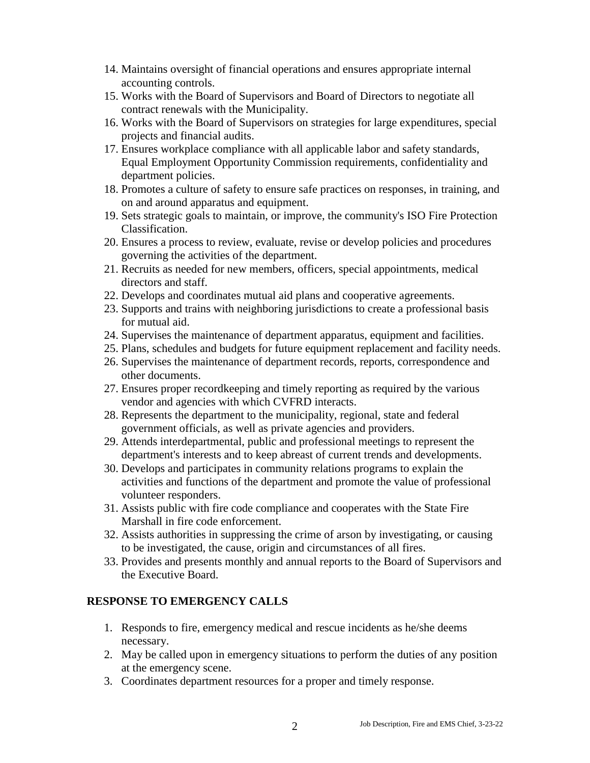- 14. Maintains oversight of financial operations and ensures appropriate internal accounting controls.
- 15. Works with the Board of Supervisors and Board of Directors to negotiate all contract renewals with the Municipality.
- 16. Works with the Board of Supervisors on strategies for large expenditures, special projects and financial audits.
- 17. Ensures workplace compliance with all applicable labor and safety standards, Equal Employment Opportunity Commission requirements, confidentiality and department policies.
- 18. Promotes a culture of safety to ensure safe practices on responses, in training, and on and around apparatus and equipment.
- 19. Sets strategic goals to maintain, or improve, the community's ISO Fire Protection Classification.
- 20. Ensures a process to review, evaluate, revise or develop policies and procedures governing the activities of the department.
- 21. Recruits as needed for new members, officers, special appointments, medical directors and staff.
- 22. Develops and coordinates mutual aid plans and cooperative agreements.
- 23. Supports and trains with neighboring jurisdictions to create a professional basis for mutual aid.
- 24. Supervises the maintenance of department apparatus, equipment and facilities.
- 25. Plans, schedules and budgets for future equipment replacement and facility needs.
- 26. Supervises the maintenance of department records, reports, correspondence and other documents.
- 27. Ensures proper recordkeeping and timely reporting as required by the various vendor and agencies with which CVFRD interacts.
- 28. Represents the department to the municipality, regional, state and federal government officials, as well as private agencies and providers.
- 29. Attends interdepartmental, public and professional meetings to represent the department's interests and to keep abreast of current trends and developments.
- 30. Develops and participates in community relations programs to explain the activities and functions of the department and promote the value of professional volunteer responders.
- 31. Assists public with fire code compliance and cooperates with the State Fire Marshall in fire code enforcement.
- 32. Assists authorities in suppressing the crime of arson by investigating, or causing to be investigated, the cause, origin and circumstances of all fires.
- 33. Provides and presents monthly and annual reports to the Board of Supervisors and the Executive Board.

# **RESPONSE TO EMERGENCY CALLS**

- 1. Responds to fire, emergency medical and rescue incidents as he/she deems necessary.
- 2. May be called upon in emergency situations to perform the duties of any position at the emergency scene.
- 3. Coordinates department resources for a proper and timely response.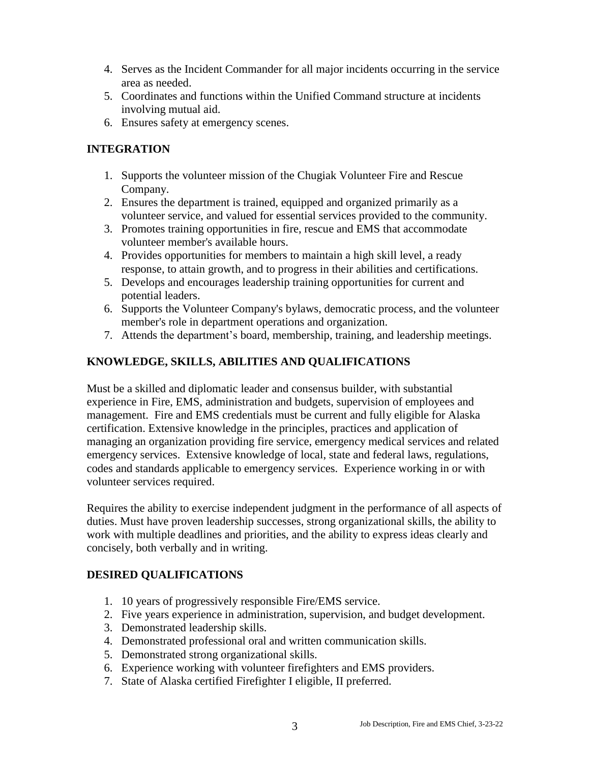- 4. Serves as the Incident Commander for all major incidents occurring in the service area as needed.
- 5. Coordinates and functions within the Unified Command structure at incidents involving mutual aid.
- 6. Ensures safety at emergency scenes.

## **INTEGRATION**

- 1. Supports the volunteer mission of the Chugiak Volunteer Fire and Rescue Company.
- 2. Ensures the department is trained, equipped and organized primarily as a volunteer service, and valued for essential services provided to the community.
- 3. Promotes training opportunities in fire, rescue and EMS that accommodate volunteer member's available hours.
- 4. Provides opportunities for members to maintain a high skill level, a ready response, to attain growth, and to progress in their abilities and certifications.
- 5. Develops and encourages leadership training opportunities for current and potential leaders.
- 6. Supports the Volunteer Company's bylaws, democratic process, and the volunteer member's role in department operations and organization.
- 7. Attends the department's board, membership, training, and leadership meetings.

## **KNOWLEDGE, SKILLS, ABILITIES AND QUALIFICATIONS**

Must be a skilled and diplomatic leader and consensus builder, with substantial experience in Fire, EMS, administration and budgets, supervision of employees and management. Fire and EMS credentials must be current and fully eligible for Alaska certification. Extensive knowledge in the principles, practices and application of managing an organization providing fire service, emergency medical services and related emergency services. Extensive knowledge of local, state and federal laws, regulations, codes and standards applicable to emergency services. Experience working in or with volunteer services required.

Requires the ability to exercise independent judgment in the performance of all aspects of duties. Must have proven leadership successes, strong organizational skills, the ability to work with multiple deadlines and priorities, and the ability to express ideas clearly and concisely, both verbally and in writing.

### **DESIRED QUALIFICATIONS**

- 1. 10 years of progressively responsible Fire/EMS service.
- 2. Five years experience in administration, supervision, and budget development.
- 3. Demonstrated leadership skills.
- 4. Demonstrated professional oral and written communication skills.
- 5. Demonstrated strong organizational skills.
- 6. Experience working with volunteer firefighters and EMS providers.
- 7. State of Alaska certified Firefighter I eligible, II preferred.